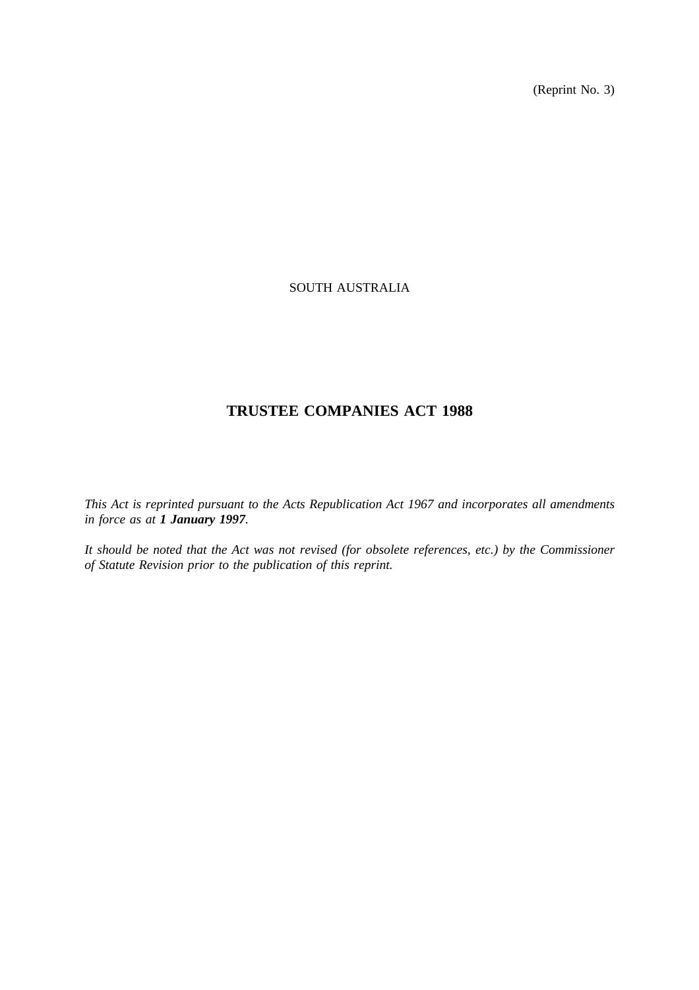(Reprint No. 3)

# SOUTH AUSTRALIA

# **TRUSTEE COMPANIES ACT 1988**

*This Act is reprinted pursuant to the Acts Republication Act 1967 and incorporates all amendments in force as at 1 January 1997.*

*It should be noted that the Act was not revised (for obsolete references, etc.) by the Commissioner of Statute Revision prior to the publication of this reprint.*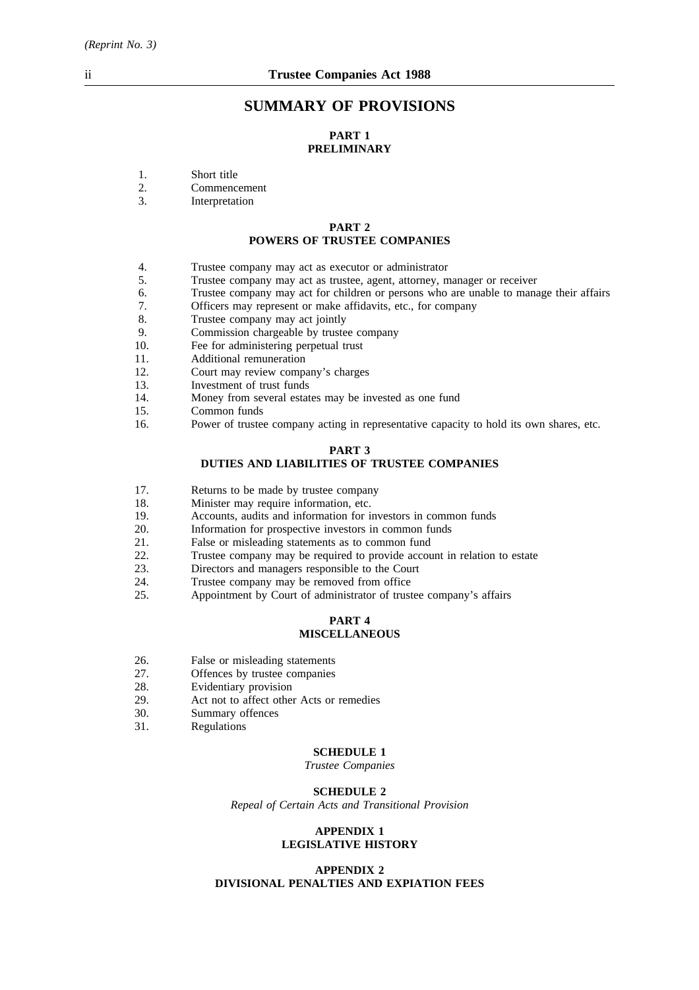# **SUMMARY OF PROVISIONS**

# **PART 1 PRELIMINARY**

- 1. Short title
- 2. Commencement
- 3. Interpretation

#### **PART 2 POWERS OF TRUSTEE COMPANIES**

- 4. Trustee company may act as executor or administrator
- 5. Trustee company may act as trustee, agent, attorney, manager or receiver
- 6. Trustee company may act for children or persons who are unable to manage their affairs
- 7. Officers may represent or make affidavits, etc., for company
- 8. Trustee company may act jointly
- 9. Commission chargeable by trustee company<br>10. Fee for administering perpetual trust
- Fee for administering perpetual trust
- 11. Additional remuneration
- 12. Court may review company's charges
- 13. Investment of trust funds
- 14. Money from several estates may be invested as one fund
- 15. Common funds
- 16. Power of trustee company acting in representative capacity to hold its own shares, etc.

#### **PART 3**

## **DUTIES AND LIABILITIES OF TRUSTEE COMPANIES**

- 17. Returns to be made by trustee company
- 18. Minister may require information, etc.
- 19. Accounts, audits and information for investors in common funds
- 20. Information for prospective investors in common funds
- 21. False or misleading statements as to common fund
- 22. Trustee company may be required to provide account in relation to estate
- 23. Directors and managers responsible to the Court
- 24. Trustee company may be removed from office
- 25. Appointment by Court of administrator of trustee company's affairs

#### **PART 4 MISCELLANEOUS**

- 26. False or misleading statements
- 27. Offences by trustee companies<br>28. Evidentiary provision
- 28. Evidentiary provision<br>29. Act not to affect other
- 29. Act not to affect other Acts or remedies<br>30. Summary offences
- 30. Summary offences<br>31. Regulations
- **Regulations**

#### **SCHEDULE 1**

*Trustee Companies*

#### **SCHEDULE 2**

*Repeal of Certain Acts and Transitional Provision*

#### **APPENDIX 1 LEGISLATIVE HISTORY**

#### **APPENDIX 2 DIVISIONAL PENALTIES AND EXPIATION FEES**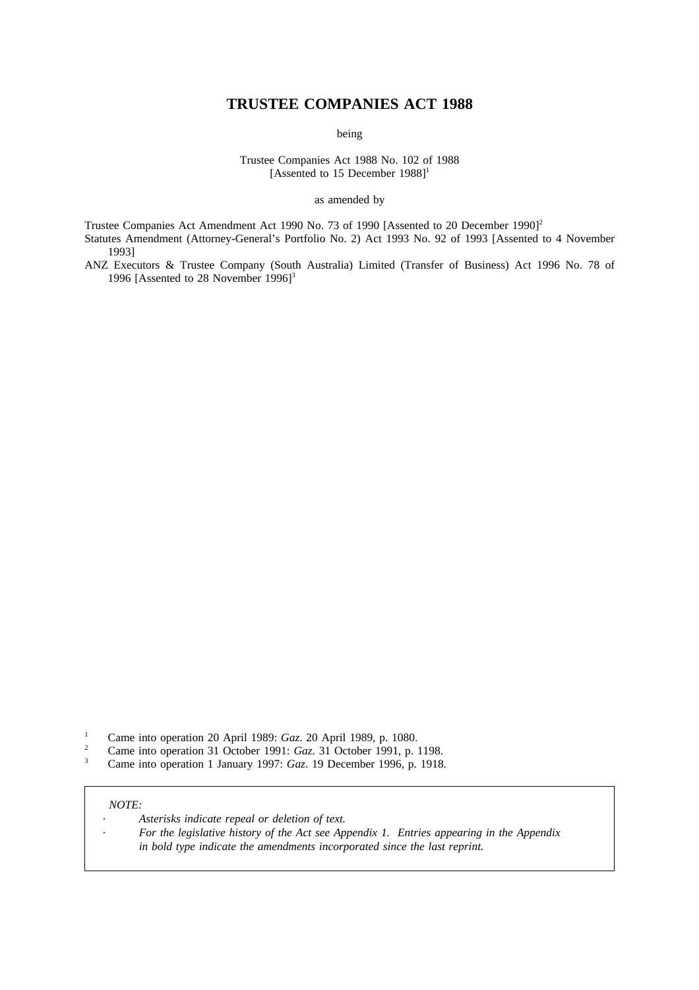# **TRUSTEE COMPANIES ACT 1988**

being

Trustee Companies Act 1988 No. 102 of 1988 [Assented to 15 December 1988]<sup>1</sup>

as amended by

Trustee Companies Act Amendment Act 1990 No. 73 of 1990 [Assented to 20 December 1990]<sup>2</sup> Statutes Amendment (Attorney-General's Portfolio No. 2) Act 1993 No. 92 of 1993 [Assented to 4 November 1993]

ANZ Executors & Trustee Company (South Australia) Limited (Transfer of Business) Act 1996 No. 78 of 1996 [Assented to 28 November 1996]<sup>3</sup>

- <sup>1</sup> Came into operation 20 April 1989: *Gaz*. 20 April 1989, p. 1080.<br><sup>2</sup> Came into operation <sup>21</sup> Ostober 1001: *Gaz*. <sup>21</sup> Ostober 1001, p. 1
- <sup>2</sup> Came into operation 31 October 1991: *Gaz*. 31 October 1991, p. 1198.<br>
<sup>2</sup> Came into operation 1 January 1997: *Gaz*. 19 December 1996, p. 1918.
- <sup>3</sup> Came into operation 1 January 1997: *Gaz*. 19 December 1996, p. 1918.

#### *NOTE:*

- *Asterisks indicate repeal or deletion of text.*
	- *For the legislative history of the Act see Appendix 1. Entries appearing in the Appendix in bold type indicate the amendments incorporated since the last reprint.*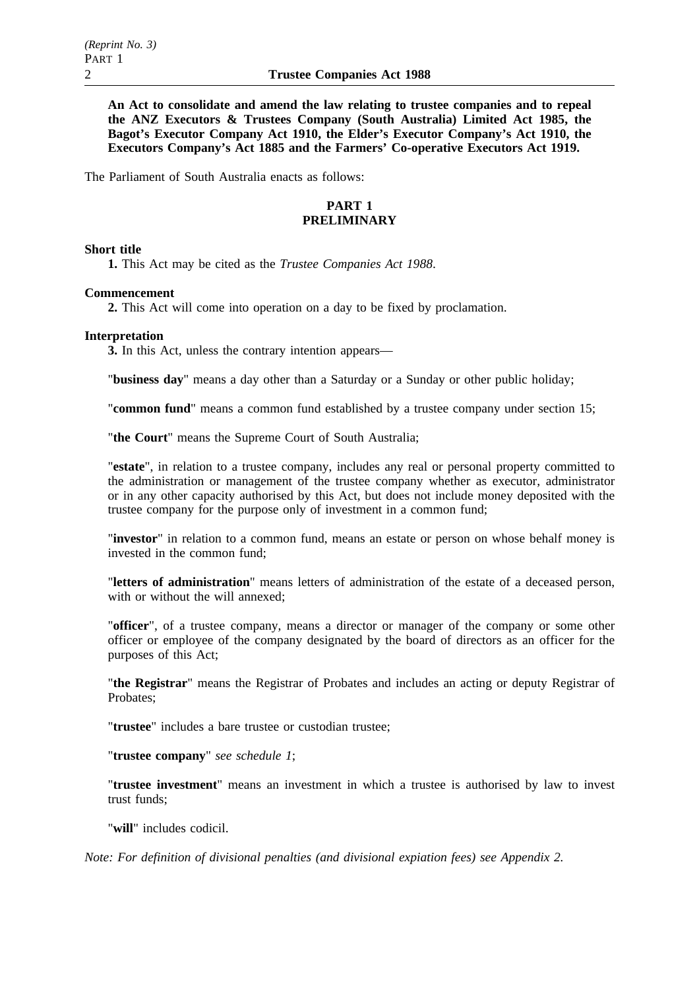**An Act to consolidate and amend the law relating to trustee companies and to repeal the ANZ Executors & Trustees Company (South Australia) Limited Act 1985, the Bagot's Executor Company Act 1910, the Elder's Executor Company's Act 1910, the Executors Company's Act 1885 and the Farmers' Co-operative Executors Act 1919.**

The Parliament of South Australia enacts as follows:

## **PART 1 PRELIMINARY**

## **Short title**

**1.** This Act may be cited as the *Trustee Companies Act 1988*.

#### **Commencement**

**2.** This Act will come into operation on a day to be fixed by proclamation.

#### **Interpretation**

**3.** In this Act, unless the contrary intention appears—

"**business day**" means a day other than a Saturday or a Sunday or other public holiday;

"**common fund**" means a common fund established by a trustee company under section 15;

"**the Court**" means the Supreme Court of South Australia;

"**estate**", in relation to a trustee company, includes any real or personal property committed to the administration or management of the trustee company whether as executor, administrator or in any other capacity authorised by this Act, but does not include money deposited with the trustee company for the purpose only of investment in a common fund;

"**investor**" in relation to a common fund, means an estate or person on whose behalf money is invested in the common fund;

"**letters of administration**" means letters of administration of the estate of a deceased person, with or without the will annexed;

"**officer**", of a trustee company, means a director or manager of the company or some other officer or employee of the company designated by the board of directors as an officer for the purposes of this Act;

"**the Registrar**" means the Registrar of Probates and includes an acting or deputy Registrar of Probates;

"**trustee**" includes a bare trustee or custodian trustee;

"**trustee company**" *see schedule 1*;

"**trustee investment**" means an investment in which a trustee is authorised by law to invest trust funds;

"**will**" includes codicil.

*Note: For definition of divisional penalties (and divisional expiation fees) see Appendix 2.*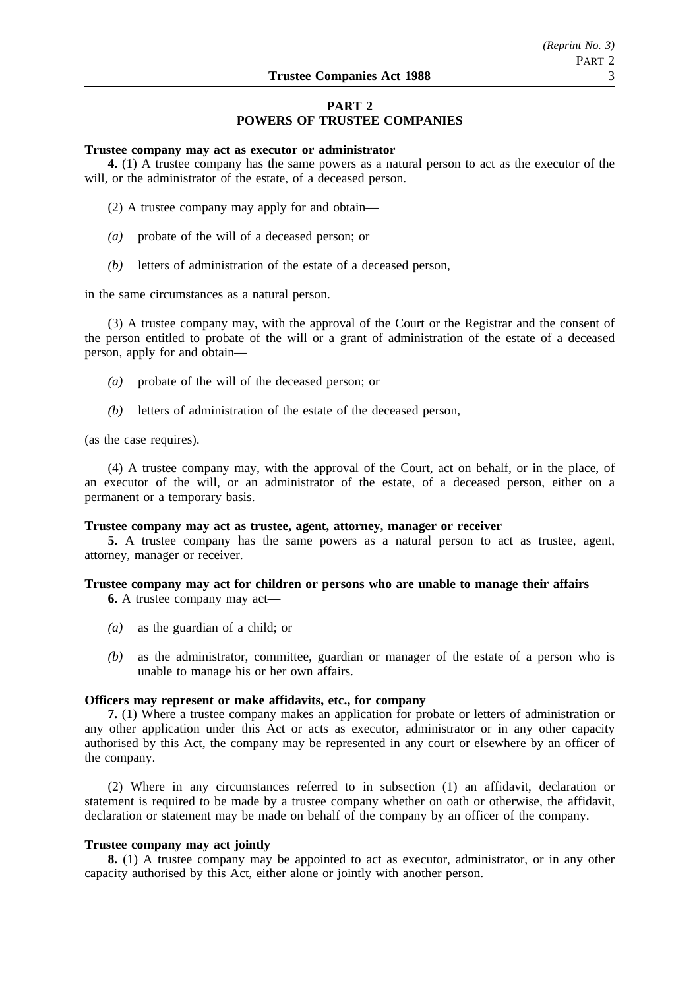# **PART 2 POWERS OF TRUSTEE COMPANIES**

#### **Trustee company may act as executor or administrator**

**4.** (1) A trustee company has the same powers as a natural person to act as the executor of the will, or the administrator of the estate, of a deceased person.

- (2) A trustee company may apply for and obtain—
- *(a)* probate of the will of a deceased person; or
- *(b)* letters of administration of the estate of a deceased person,

in the same circumstances as a natural person.

(3) A trustee company may, with the approval of the Court or the Registrar and the consent of the person entitled to probate of the will or a grant of administration of the estate of a deceased person, apply for and obtain—

- *(a)* probate of the will of the deceased person; or
- *(b)* letters of administration of the estate of the deceased person,

(as the case requires).

(4) A trustee company may, with the approval of the Court, act on behalf, or in the place, of an executor of the will, or an administrator of the estate, of a deceased person, either on a permanent or a temporary basis.

#### **Trustee company may act as trustee, agent, attorney, manager or receiver**

**5.** A trustee company has the same powers as a natural person to act as trustee, agent, attorney, manager or receiver.

# **Trustee company may act for children or persons who are unable to manage their affairs**

**6.** A trustee company may act—

- *(a)* as the guardian of a child; or
- *(b)* as the administrator, committee, guardian or manager of the estate of a person who is unable to manage his or her own affairs.

## **Officers may represent or make affidavits, etc., for company**

**7.** (1) Where a trustee company makes an application for probate or letters of administration or any other application under this Act or acts as executor, administrator or in any other capacity authorised by this Act, the company may be represented in any court or elsewhere by an officer of the company.

(2) Where in any circumstances referred to in subsection (1) an affidavit, declaration or statement is required to be made by a trustee company whether on oath or otherwise, the affidavit, declaration or statement may be made on behalf of the company by an officer of the company.

#### **Trustee company may act jointly**

**8.** (1) A trustee company may be appointed to act as executor, administrator, or in any other capacity authorised by this Act, either alone or jointly with another person.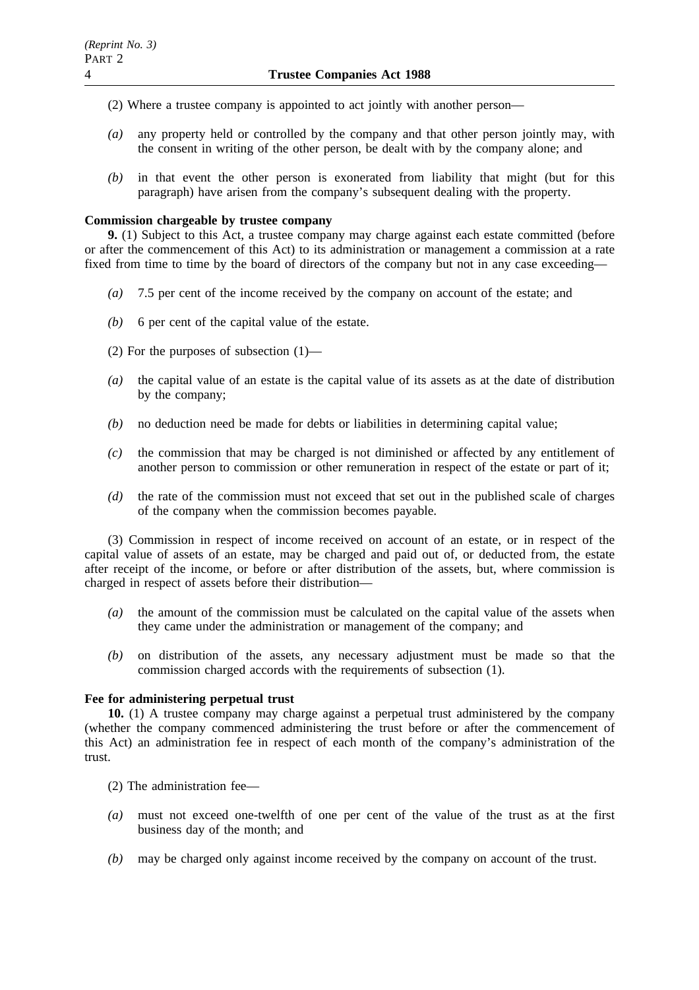- (2) Where a trustee company is appointed to act jointly with another person—
- *(a)* any property held or controlled by the company and that other person jointly may, with the consent in writing of the other person, be dealt with by the company alone; and
- *(b)* in that event the other person is exonerated from liability that might (but for this paragraph) have arisen from the company's subsequent dealing with the property.

## **Commission chargeable by trustee company**

**9.** (1) Subject to this Act, a trustee company may charge against each estate committed (before or after the commencement of this Act) to its administration or management a commission at a rate fixed from time to time by the board of directors of the company but not in any case exceeding—

- *(a)* 7.5 per cent of the income received by the company on account of the estate; and
- *(b)* 6 per cent of the capital value of the estate.
- (2) For the purposes of subsection (1)—
- *(a)* the capital value of an estate is the capital value of its assets as at the date of distribution by the company;
- *(b)* no deduction need be made for debts or liabilities in determining capital value;
- *(c)* the commission that may be charged is not diminished or affected by any entitlement of another person to commission or other remuneration in respect of the estate or part of it;
- *(d)* the rate of the commission must not exceed that set out in the published scale of charges of the company when the commission becomes payable.

(3) Commission in respect of income received on account of an estate, or in respect of the capital value of assets of an estate, may be charged and paid out of, or deducted from, the estate after receipt of the income, or before or after distribution of the assets, but, where commission is charged in respect of assets before their distribution—

- *(a)* the amount of the commission must be calculated on the capital value of the assets when they came under the administration or management of the company; and
- *(b)* on distribution of the assets, any necessary adjustment must be made so that the commission charged accords with the requirements of subsection (1).

## **Fee for administering perpetual trust**

**10.** (1) A trustee company may charge against a perpetual trust administered by the company (whether the company commenced administering the trust before or after the commencement of this Act) an administration fee in respect of each month of the company's administration of the trust.

- (2) The administration fee—
- *(a)* must not exceed one-twelfth of one per cent of the value of the trust as at the first business day of the month; and
- *(b)* may be charged only against income received by the company on account of the trust.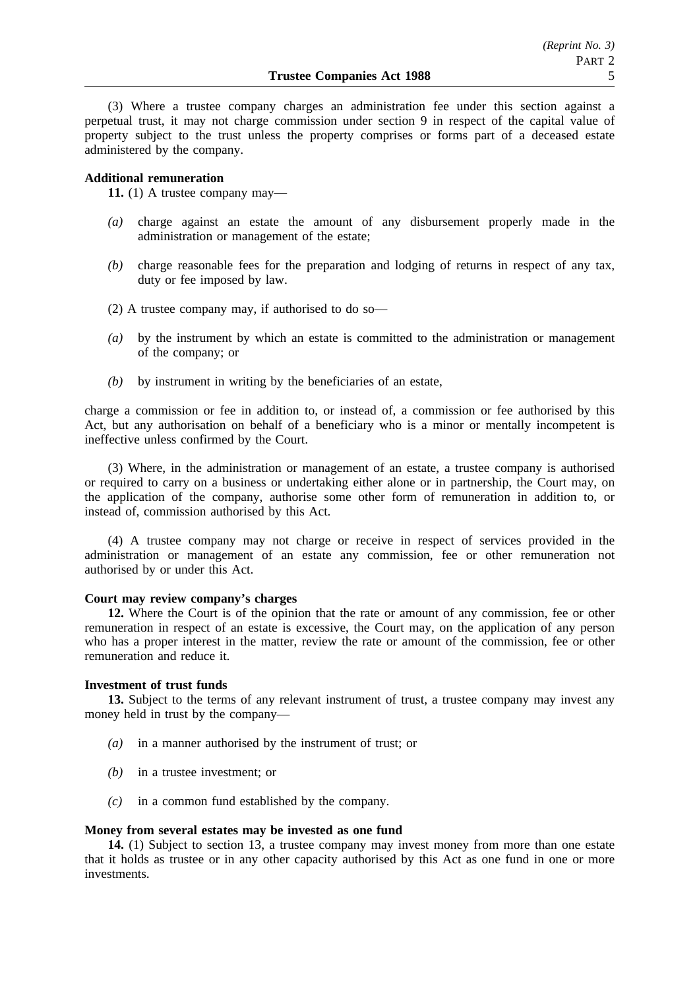(3) Where a trustee company charges an administration fee under this section against a perpetual trust, it may not charge commission under section 9 in respect of the capital value of property subject to the trust unless the property comprises or forms part of a deceased estate administered by the company.

## **Additional remuneration**

**11.** (1) A trustee company may—

- *(a)* charge against an estate the amount of any disbursement properly made in the administration or management of the estate;
- *(b)* charge reasonable fees for the preparation and lodging of returns in respect of any tax, duty or fee imposed by law.
- (2) A trustee company may, if authorised to do so—
- *(a)* by the instrument by which an estate is committed to the administration or management of the company; or
- *(b)* by instrument in writing by the beneficiaries of an estate,

charge a commission or fee in addition to, or instead of, a commission or fee authorised by this Act, but any authorisation on behalf of a beneficiary who is a minor or mentally incompetent is ineffective unless confirmed by the Court.

(3) Where, in the administration or management of an estate, a trustee company is authorised or required to carry on a business or undertaking either alone or in partnership, the Court may, on the application of the company, authorise some other form of remuneration in addition to, or instead of, commission authorised by this Act.

(4) A trustee company may not charge or receive in respect of services provided in the administration or management of an estate any commission, fee or other remuneration not authorised by or under this Act.

## **Court may review company's charges**

**12.** Where the Court is of the opinion that the rate or amount of any commission, fee or other remuneration in respect of an estate is excessive, the Court may, on the application of any person who has a proper interest in the matter, review the rate or amount of the commission, fee or other remuneration and reduce it.

#### **Investment of trust funds**

**13.** Subject to the terms of any relevant instrument of trust, a trustee company may invest any money held in trust by the company—

- *(a)* in a manner authorised by the instrument of trust; or
- *(b)* in a trustee investment; or
- *(c)* in a common fund established by the company.

#### **Money from several estates may be invested as one fund**

**14.** (1) Subject to section 13, a trustee company may invest money from more than one estate that it holds as trustee or in any other capacity authorised by this Act as one fund in one or more investments.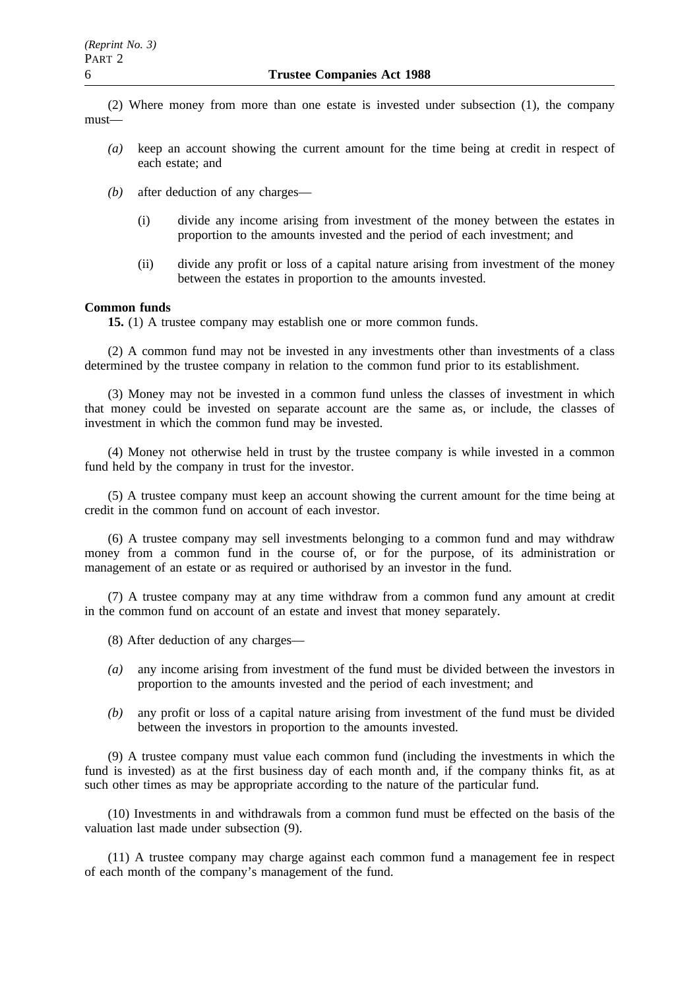(2) Where money from more than one estate is invested under subsection (1), the company must—

- *(a)* keep an account showing the current amount for the time being at credit in respect of each estate; and
- *(b)* after deduction of any charges—
	- (i) divide any income arising from investment of the money between the estates in proportion to the amounts invested and the period of each investment; and
	- (ii) divide any profit or loss of a capital nature arising from investment of the money between the estates in proportion to the amounts invested.

## **Common funds**

**15.** (1) A trustee company may establish one or more common funds.

(2) A common fund may not be invested in any investments other than investments of a class determined by the trustee company in relation to the common fund prior to its establishment.

(3) Money may not be invested in a common fund unless the classes of investment in which that money could be invested on separate account are the same as, or include, the classes of investment in which the common fund may be invested.

(4) Money not otherwise held in trust by the trustee company is while invested in a common fund held by the company in trust for the investor.

(5) A trustee company must keep an account showing the current amount for the time being at credit in the common fund on account of each investor.

(6) A trustee company may sell investments belonging to a common fund and may withdraw money from a common fund in the course of, or for the purpose, of its administration or management of an estate or as required or authorised by an investor in the fund.

(7) A trustee company may at any time withdraw from a common fund any amount at credit in the common fund on account of an estate and invest that money separately.

- (8) After deduction of any charges—
- *(a)* any income arising from investment of the fund must be divided between the investors in proportion to the amounts invested and the period of each investment; and
- *(b)* any profit or loss of a capital nature arising from investment of the fund must be divided between the investors in proportion to the amounts invested.

(9) A trustee company must value each common fund (including the investments in which the fund is invested) as at the first business day of each month and, if the company thinks fit, as at such other times as may be appropriate according to the nature of the particular fund.

(10) Investments in and withdrawals from a common fund must be effected on the basis of the valuation last made under subsection (9).

(11) A trustee company may charge against each common fund a management fee in respect of each month of the company's management of the fund.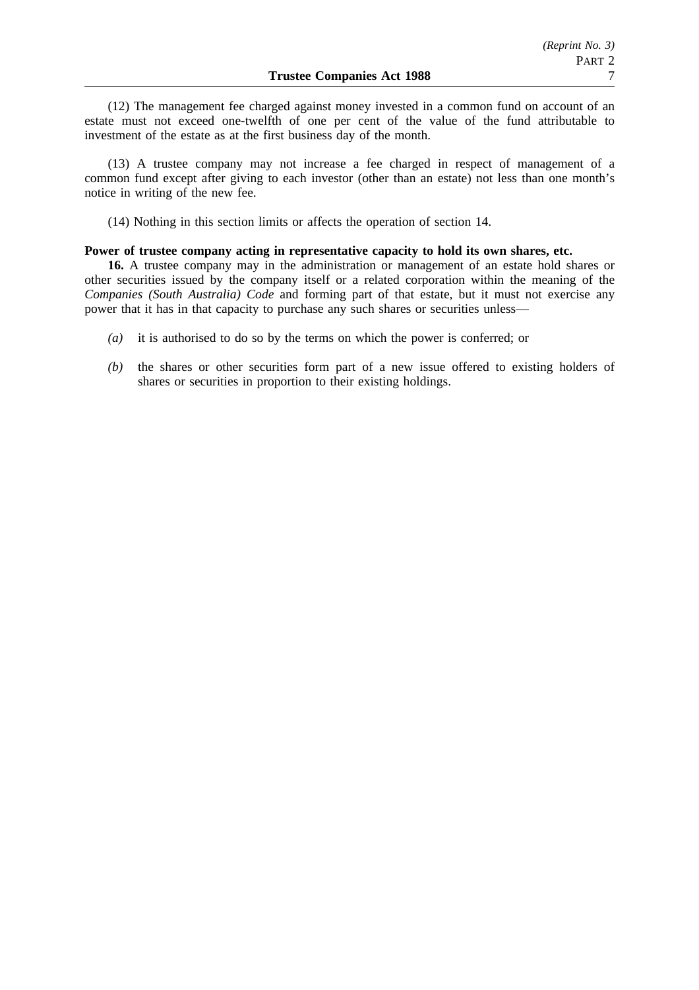(12) The management fee charged against money invested in a common fund on account of an estate must not exceed one-twelfth of one per cent of the value of the fund attributable to investment of the estate as at the first business day of the month.

(13) A trustee company may not increase a fee charged in respect of management of a common fund except after giving to each investor (other than an estate) not less than one month's notice in writing of the new fee.

(14) Nothing in this section limits or affects the operation of section 14.

## **Power of trustee company acting in representative capacity to hold its own shares, etc.**

**16.** A trustee company may in the administration or management of an estate hold shares or other securities issued by the company itself or a related corporation within the meaning of the *Companies (South Australia) Code* and forming part of that estate, but it must not exercise any power that it has in that capacity to purchase any such shares or securities unless—

- *(a)* it is authorised to do so by the terms on which the power is conferred; or
- *(b)* the shares or other securities form part of a new issue offered to existing holders of shares or securities in proportion to their existing holdings.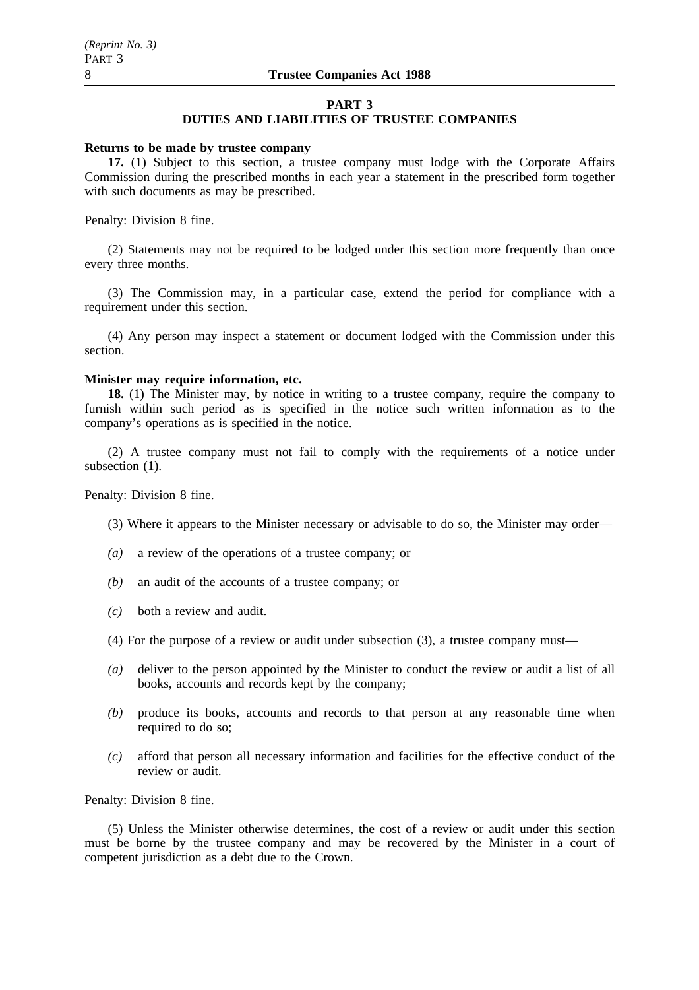#### **PART 3**

## **DUTIES AND LIABILITIES OF TRUSTEE COMPANIES**

#### **Returns to be made by trustee company**

**17.** (1) Subject to this section, a trustee company must lodge with the Corporate Affairs Commission during the prescribed months in each year a statement in the prescribed form together with such documents as may be prescribed.

Penalty: Division 8 fine.

(2) Statements may not be required to be lodged under this section more frequently than once every three months.

(3) The Commission may, in a particular case, extend the period for compliance with a requirement under this section.

(4) Any person may inspect a statement or document lodged with the Commission under this section.

# **Minister may require information, etc.**

**18.** (1) The Minister may, by notice in writing to a trustee company, require the company to furnish within such period as is specified in the notice such written information as to the company's operations as is specified in the notice.

(2) A trustee company must not fail to comply with the requirements of a notice under subsection  $(1)$ .

Penalty: Division 8 fine.

- (3) Where it appears to the Minister necessary or advisable to do so, the Minister may order—
- *(a)* a review of the operations of a trustee company; or
- *(b)* an audit of the accounts of a trustee company; or
- *(c)* both a review and audit.
- (4) For the purpose of a review or audit under subsection (3), a trustee company must—
- *(a)* deliver to the person appointed by the Minister to conduct the review or audit a list of all books, accounts and records kept by the company;
- *(b)* produce its books, accounts and records to that person at any reasonable time when required to do so;
- *(c)* afford that person all necessary information and facilities for the effective conduct of the review or audit.

Penalty: Division 8 fine.

(5) Unless the Minister otherwise determines, the cost of a review or audit under this section must be borne by the trustee company and may be recovered by the Minister in a court of competent jurisdiction as a debt due to the Crown.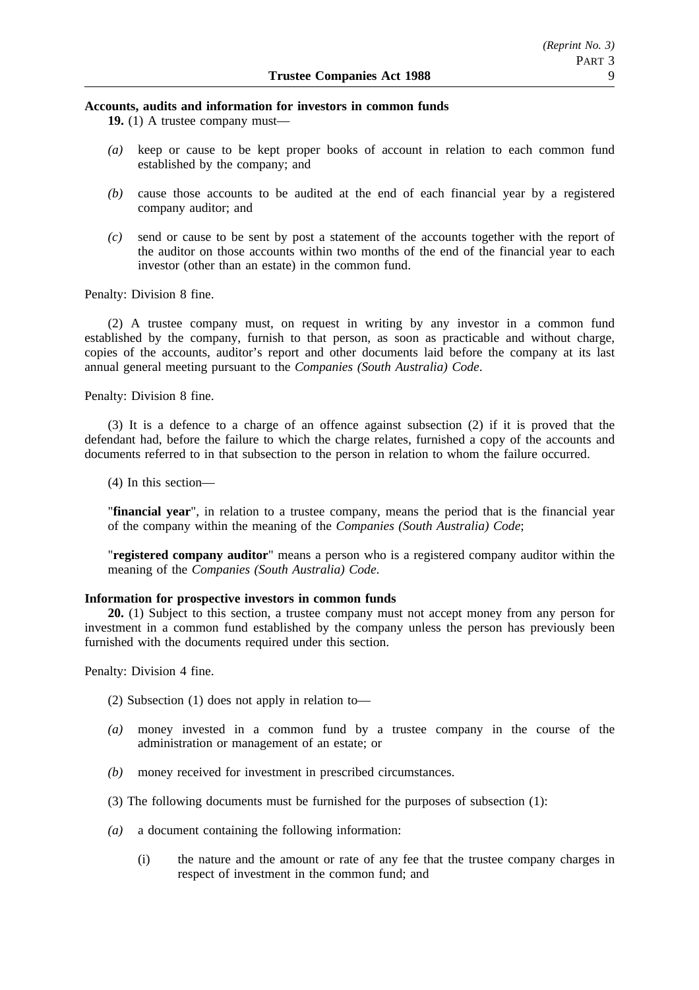## **Accounts, audits and information for investors in common funds**

**19.** (1) A trustee company must—

- *(a)* keep or cause to be kept proper books of account in relation to each common fund established by the company; and
- *(b)* cause those accounts to be audited at the end of each financial year by a registered company auditor; and
- *(c)* send or cause to be sent by post a statement of the accounts together with the report of the auditor on those accounts within two months of the end of the financial year to each investor (other than an estate) in the common fund.

Penalty: Division 8 fine.

(2) A trustee company must, on request in writing by any investor in a common fund established by the company, furnish to that person, as soon as practicable and without charge, copies of the accounts, auditor's report and other documents laid before the company at its last annual general meeting pursuant to the *Companies (South Australia) Code*.

Penalty: Division 8 fine.

(3) It is a defence to a charge of an offence against subsection (2) if it is proved that the defendant had, before the failure to which the charge relates, furnished a copy of the accounts and documents referred to in that subsection to the person in relation to whom the failure occurred.

(4) In this section—

"**financial year**", in relation to a trustee company, means the period that is the financial year of the company within the meaning of the *Companies (South Australia) Code*;

"**registered company auditor**" means a person who is a registered company auditor within the meaning of the *Companies (South Australia) Code*.

# **Information for prospective investors in common funds**

**20.** (1) Subject to this section, a trustee company must not accept money from any person for investment in a common fund established by the company unless the person has previously been furnished with the documents required under this section.

Penalty: Division 4 fine.

- (2) Subsection (1) does not apply in relation to—
- *(a)* money invested in a common fund by a trustee company in the course of the administration or management of an estate; or
- *(b)* money received for investment in prescribed circumstances.
- (3) The following documents must be furnished for the purposes of subsection (1):
- *(a)* a document containing the following information:
	- (i) the nature and the amount or rate of any fee that the trustee company charges in respect of investment in the common fund; and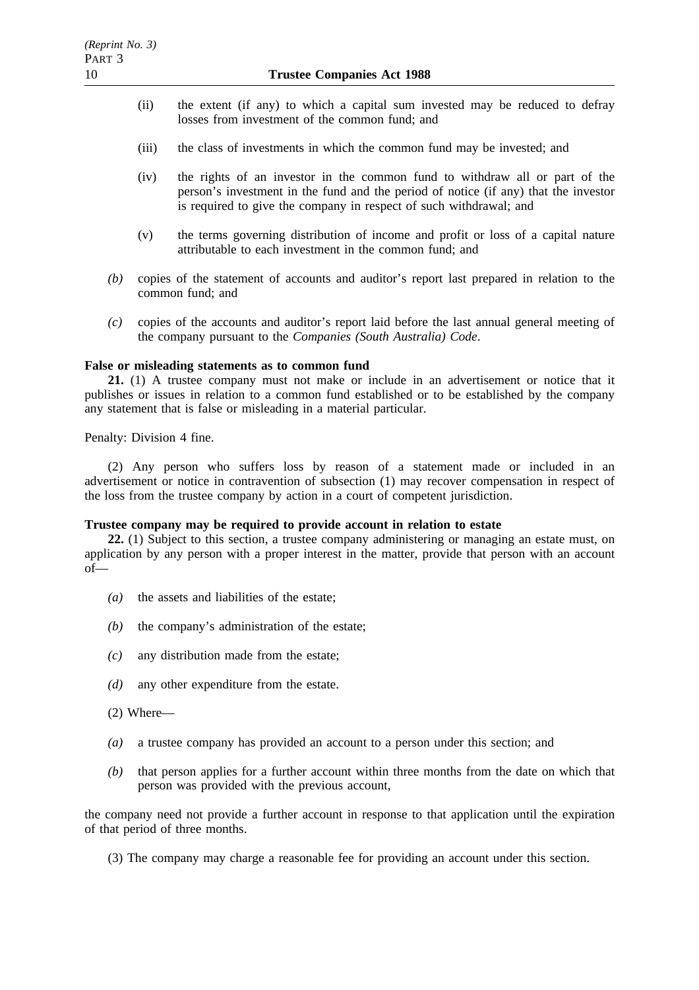- (ii) the extent (if any) to which a capital sum invested may be reduced to defray losses from investment of the common fund; and
- (iii) the class of investments in which the common fund may be invested; and
- (iv) the rights of an investor in the common fund to withdraw all or part of the person's investment in the fund and the period of notice (if any) that the investor is required to give the company in respect of such withdrawal; and
- (v) the terms governing distribution of income and profit or loss of a capital nature attributable to each investment in the common fund; and
- *(b)* copies of the statement of accounts and auditor's report last prepared in relation to the common fund; and
- *(c)* copies of the accounts and auditor's report laid before the last annual general meeting of the company pursuant to the *Companies (South Australia) Code*.

#### **False or misleading statements as to common fund**

**21.** (1) A trustee company must not make or include in an advertisement or notice that it publishes or issues in relation to a common fund established or to be established by the company any statement that is false or misleading in a material particular.

Penalty: Division 4 fine.

(2) Any person who suffers loss by reason of a statement made or included in an advertisement or notice in contravention of subsection (1) may recover compensation in respect of the loss from the trustee company by action in a court of competent jurisdiction.

#### **Trustee company may be required to provide account in relation to estate**

**22.** (1) Subject to this section, a trustee company administering or managing an estate must, on application by any person with a proper interest in the matter, provide that person with an account of—

- *(a)* the assets and liabilities of the estate;
- *(b)* the company's administration of the estate;
- *(c)* any distribution made from the estate;
- *(d)* any other expenditure from the estate.
- (2) Where—
- *(a)* a trustee company has provided an account to a person under this section; and
- *(b)* that person applies for a further account within three months from the date on which that person was provided with the previous account,

the company need not provide a further account in response to that application until the expiration of that period of three months.

(3) The company may charge a reasonable fee for providing an account under this section.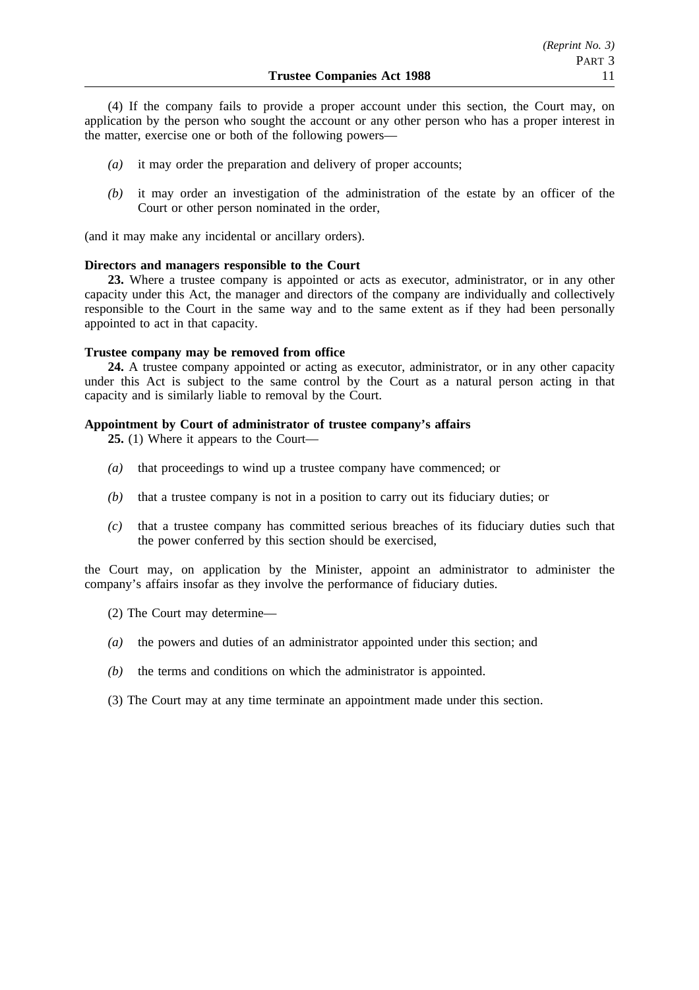(4) If the company fails to provide a proper account under this section, the Court may, on application by the person who sought the account or any other person who has a proper interest in the matter, exercise one or both of the following powers—

- *(a)* it may order the preparation and delivery of proper accounts;
- *(b)* it may order an investigation of the administration of the estate by an officer of the Court or other person nominated in the order,

(and it may make any incidental or ancillary orders).

## **Directors and managers responsible to the Court**

**23.** Where a trustee company is appointed or acts as executor, administrator, or in any other capacity under this Act, the manager and directors of the company are individually and collectively responsible to the Court in the same way and to the same extent as if they had been personally appointed to act in that capacity.

## **Trustee company may be removed from office**

**24.** A trustee company appointed or acting as executor, administrator, or in any other capacity under this Act is subject to the same control by the Court as a natural person acting in that capacity and is similarly liable to removal by the Court.

## **Appointment by Court of administrator of trustee company's affairs**

**25.** (1) Where it appears to the Court—

- *(a)* that proceedings to wind up a trustee company have commenced; or
- *(b)* that a trustee company is not in a position to carry out its fiduciary duties; or
- *(c)* that a trustee company has committed serious breaches of its fiduciary duties such that the power conferred by this section should be exercised,

the Court may, on application by the Minister, appoint an administrator to administer the company's affairs insofar as they involve the performance of fiduciary duties.

- (2) The Court may determine—
- *(a)* the powers and duties of an administrator appointed under this section; and
- *(b)* the terms and conditions on which the administrator is appointed.

(3) The Court may at any time terminate an appointment made under this section.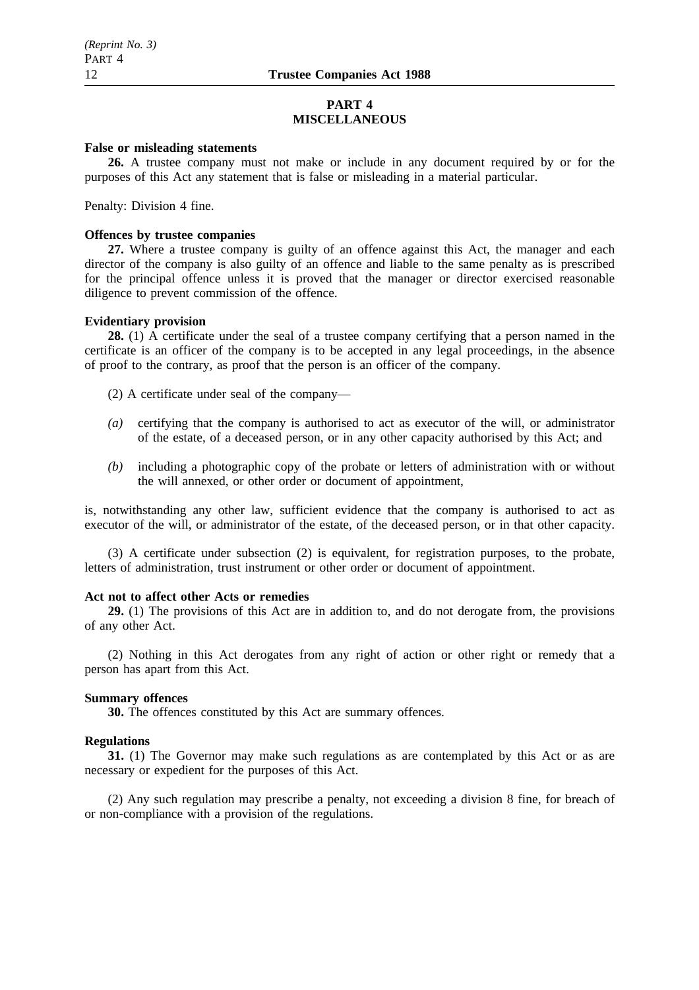# **PART 4 MISCELLANEOUS**

## **False or misleading statements**

**26.** A trustee company must not make or include in any document required by or for the purposes of this Act any statement that is false or misleading in a material particular.

Penalty: Division 4 fine.

## **Offences by trustee companies**

**27.** Where a trustee company is guilty of an offence against this Act, the manager and each director of the company is also guilty of an offence and liable to the same penalty as is prescribed for the principal offence unless it is proved that the manager or director exercised reasonable diligence to prevent commission of the offence.

## **Evidentiary provision**

**28.** (1) A certificate under the seal of a trustee company certifying that a person named in the certificate is an officer of the company is to be accepted in any legal proceedings, in the absence of proof to the contrary, as proof that the person is an officer of the company.

(2) A certificate under seal of the company—

- *(a)* certifying that the company is authorised to act as executor of the will, or administrator of the estate, of a deceased person, or in any other capacity authorised by this Act; and
- *(b)* including a photographic copy of the probate or letters of administration with or without the will annexed, or other order or document of appointment,

is, notwithstanding any other law, sufficient evidence that the company is authorised to act as executor of the will, or administrator of the estate, of the deceased person, or in that other capacity.

(3) A certificate under subsection (2) is equivalent, for registration purposes, to the probate, letters of administration, trust instrument or other order or document of appointment.

## **Act not to affect other Acts or remedies**

**29.** (1) The provisions of this Act are in addition to, and do not derogate from, the provisions of any other Act.

(2) Nothing in this Act derogates from any right of action or other right or remedy that a person has apart from this Act.

## **Summary offences**

**30.** The offences constituted by this Act are summary offences.

# **Regulations**

**31.** (1) The Governor may make such regulations as are contemplated by this Act or as are necessary or expedient for the purposes of this Act.

(2) Any such regulation may prescribe a penalty, not exceeding a division 8 fine, for breach of or non-compliance with a provision of the regulations.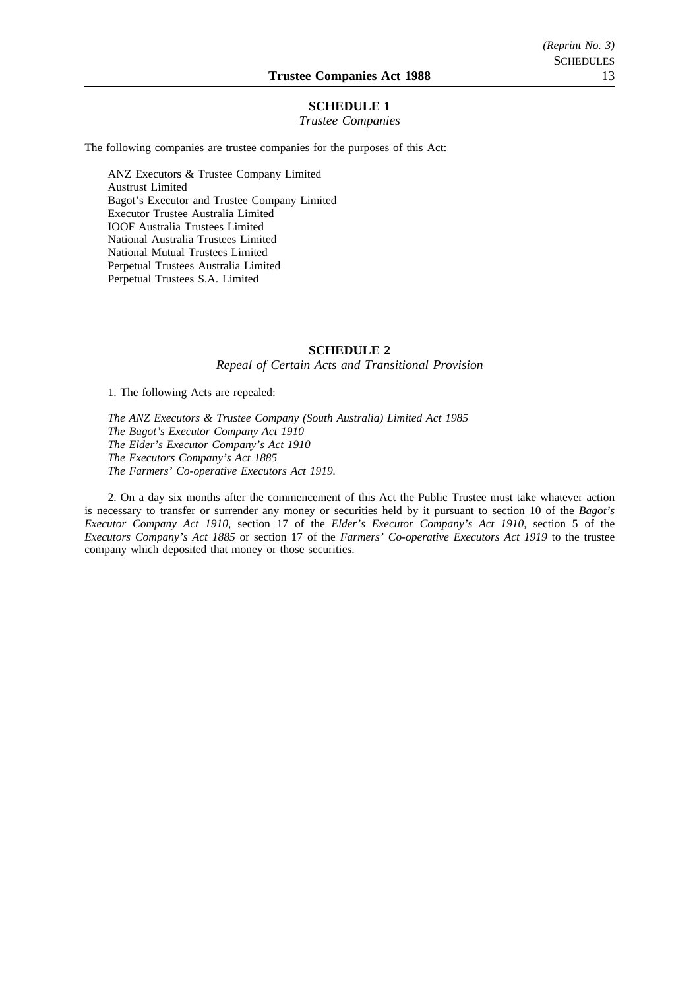## **SCHEDULE 1**

#### *Trustee Companies*

The following companies are trustee companies for the purposes of this Act:

ANZ Executors & Trustee Company Limited Austrust Limited Bagot's Executor and Trustee Company Limited Executor Trustee Australia Limited IOOF Australia Trustees Limited National Australia Trustees Limited National Mutual Trustees Limited Perpetual Trustees Australia Limited Perpetual Trustees S.A. Limited

#### **SCHEDULE 2**

*Repeal of Certain Acts and Transitional Provision*

1. The following Acts are repealed:

*The ANZ Executors & Trustee Company (South Australia) Limited Act 1985 The Bagot's Executor Company Act 1910 The Elder's Executor Company's Act 1910 The Executors Company's Act 1885 The Farmers' Co-operative Executors Act 1919.*

2. On a day six months after the commencement of this Act the Public Trustee must take whatever action is necessary to transfer or surrender any money or securities held by it pursuant to section 10 of the *Bagot's Executor Company Act 1910*, section 17 of the *Elder's Executor Company's Act 1910*, section 5 of the *Executors Company's Act 1885* or section 17 of the *Farmers' Co-operative Executors Act 1919* to the trustee company which deposited that money or those securities.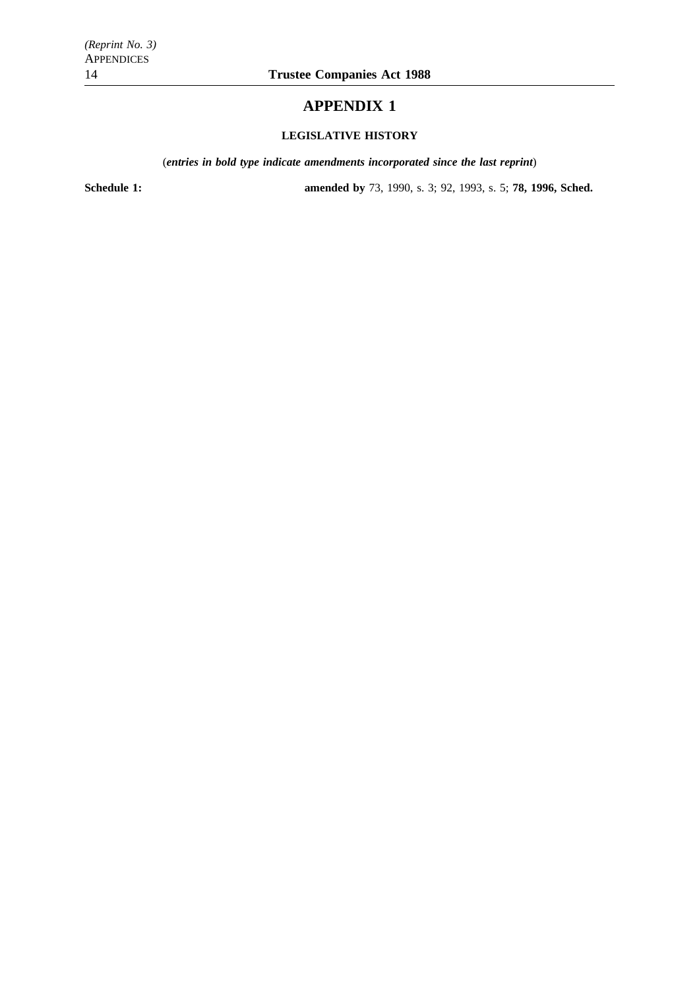# **APPENDIX 1**

# **LEGISLATIVE HISTORY**

(*entries in bold type indicate amendments incorporated since the last reprint*)

**Schedule 1: amended by** 73, 1990, s. 3; 92, 1993, s. 5; **78, 1996, Sched.**